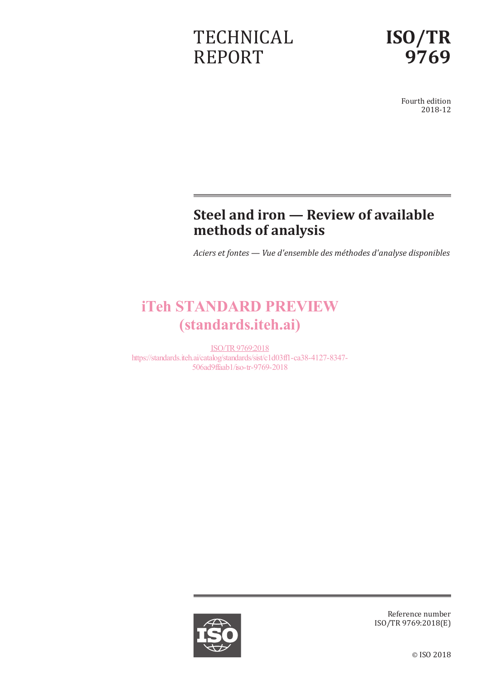# **TECHNICAL** REPORT

Fourth edition 2018-12

# **Steel and iron — Review of available methods of analysis**

*Aciers et fontes — Vue d'ensemble des méthodes d'analyse disponibles*

# iTeh STANDARD PREVIEW (standards.iteh.ai)

ISO/TR9769:2018 https://standards.iteh.ai/catalog/standards/sist/c1d03ff1-ca38-4127-8347- 506ad9ffaab1/iso-tr-9769-2018



Reference number ISO/TR 9769:2018(E)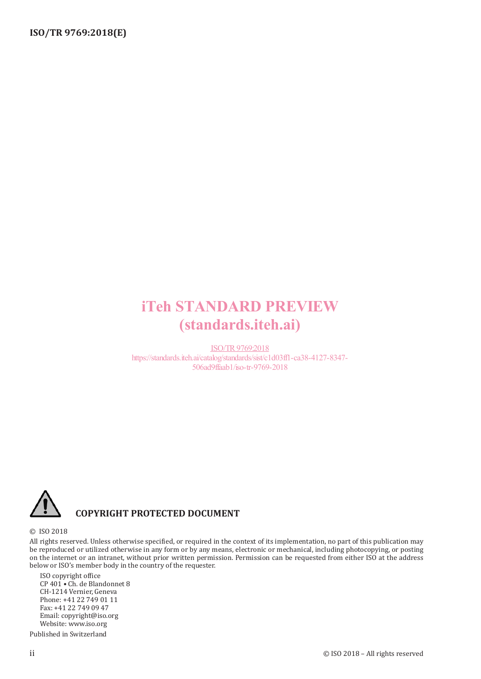# iTeh STANDARD PREVIEW (standards.iteh.ai)

ISO/TR9769:2018 https://standards.iteh.ai/catalog/standards/sist/c1d03ff1-ca38-4127-8347- 506ad9ffaab1/iso-tr-9769-2018



# **COPYRIGHT PROTECTED DOCUMENT**

#### © ISO 2018

All rights reserved. Unless otherwise specified, or required in the context of its implementation, no part of this publication may be reproduced or utilized otherwise in any form or by any means, electronic or mechanical, including photocopying, or posting on the internet or an intranet, without prior written permission. Permission can be requested from either ISO at the address below or ISO's member body in the country of the requester.

ISO copyright office CP 401 • Ch. de Blandonnet 8 CH-1214 Vernier, Geneva Phone: +41 22 749 01 11 Fax: +41 22 749 09 47 Email: copyright@iso.org Website: www.iso.org

Published in Switzerland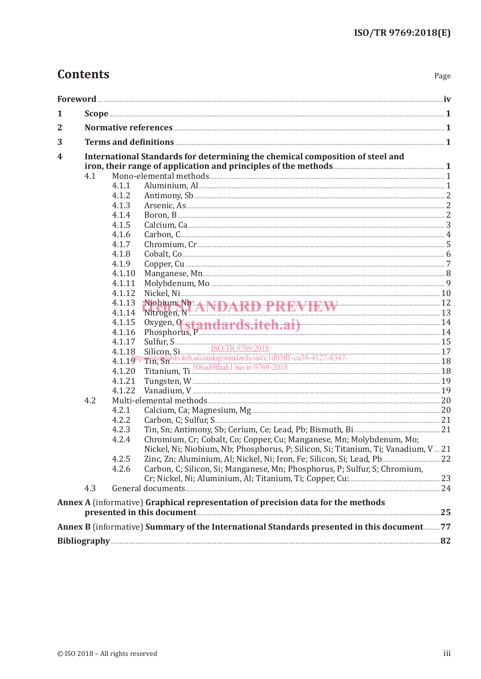# **Contents**

| 1 |                                                                                       |                                                   |                                                                                                                                                                                                                                                       |  |
|---|---------------------------------------------------------------------------------------|---------------------------------------------------|-------------------------------------------------------------------------------------------------------------------------------------------------------------------------------------------------------------------------------------------------------|--|
| 2 |                                                                                       |                                                   |                                                                                                                                                                                                                                                       |  |
| 3 |                                                                                       | Terms and definitions <b>Executive Contract 2</b> |                                                                                                                                                                                                                                                       |  |
| 4 | International Standards for determining the chemical composition of steel and         |                                                   |                                                                                                                                                                                                                                                       |  |
|   | iron, their range of application and principles of the methods <b>Supplier 2016</b> 1 |                                                   |                                                                                                                                                                                                                                                       |  |
|   | 4.1                                                                                   |                                                   |                                                                                                                                                                                                                                                       |  |
|   |                                                                                       | 4.1.1                                             |                                                                                                                                                                                                                                                       |  |
|   |                                                                                       | 4.1.2                                             |                                                                                                                                                                                                                                                       |  |
|   |                                                                                       | 4.1.3                                             |                                                                                                                                                                                                                                                       |  |
|   |                                                                                       | 4.1.4                                             |                                                                                                                                                                                                                                                       |  |
|   |                                                                                       | 4.1.5                                             |                                                                                                                                                                                                                                                       |  |
|   |                                                                                       | 4.1.6                                             |                                                                                                                                                                                                                                                       |  |
|   |                                                                                       | 4.1.7                                             |                                                                                                                                                                                                                                                       |  |
|   |                                                                                       | 4.1.8                                             |                                                                                                                                                                                                                                                       |  |
|   |                                                                                       | 4.1.9                                             |                                                                                                                                                                                                                                                       |  |
|   |                                                                                       | 4.1.10                                            |                                                                                                                                                                                                                                                       |  |
|   |                                                                                       | 4.1.11                                            |                                                                                                                                                                                                                                                       |  |
|   |                                                                                       | 4.1.12                                            |                                                                                                                                                                                                                                                       |  |
|   |                                                                                       | 4.1.13                                            | Niobium Nb ANDARD PREVIEW 12                                                                                                                                                                                                                          |  |
|   |                                                                                       | 4.1.14                                            |                                                                                                                                                                                                                                                       |  |
|   |                                                                                       | 4.1.15                                            | Oxygen, Ostandards.itch.ai) 14<br>Phosphorus, P. 14                                                                                                                                                                                                   |  |
|   |                                                                                       | 4.1.16                                            |                                                                                                                                                                                                                                                       |  |
|   |                                                                                       |                                                   |                                                                                                                                                                                                                                                       |  |
|   |                                                                                       |                                                   |                                                                                                                                                                                                                                                       |  |
|   |                                                                                       |                                                   | 4.1.17 Sulfur, S.<br>4.1.18 Silicon, Si ISO/TR 9769.2018<br>4.1.19 Silicon, Si ISO/TR 9769.2018<br>4.1.19 Tim, Shankanda, itch.a/catalog/standards/sist/c1d03ffl-ca38-4127-8347-<br>4.1.20 Titanium, Ti <sup>506ad9ffaab1/so-tr-9769-2018</sup><br>18 |  |
|   |                                                                                       | 4.1.21                                            |                                                                                                                                                                                                                                                       |  |
|   |                                                                                       | 4.1.22                                            |                                                                                                                                                                                                                                                       |  |
|   | 4.2                                                                                   |                                                   |                                                                                                                                                                                                                                                       |  |
|   |                                                                                       | 4.2.1                                             |                                                                                                                                                                                                                                                       |  |
|   |                                                                                       | 4.2.2                                             |                                                                                                                                                                                                                                                       |  |
|   |                                                                                       | 4.2.3                                             |                                                                                                                                                                                                                                                       |  |
|   |                                                                                       | 4.2.4                                             | Chromium, Cr; Cobalt, Co; Copper, Cu; Manganese, Mn; Molybdenum, Mo;                                                                                                                                                                                  |  |
|   |                                                                                       |                                                   | Nickel, Ni; Niobium, Nb; Phosphorus, P; Silicon, Si; Titanium, Ti; Vanadium, V 21                                                                                                                                                                     |  |
|   |                                                                                       | 4.2.5                                             |                                                                                                                                                                                                                                                       |  |
|   |                                                                                       | 4.2.6                                             | Carbon, C; Silicon, Si; Manganese, Mn; Phosphorus, P; Sulfur, S; Chromium,                                                                                                                                                                            |  |
|   |                                                                                       |                                                   |                                                                                                                                                                                                                                                       |  |
|   | 4.3                                                                                   |                                                   |                                                                                                                                                                                                                                                       |  |
|   |                                                                                       |                                                   | Annex A (informative) Graphical representation of precision data for the methods                                                                                                                                                                      |  |
|   |                                                                                       |                                                   |                                                                                                                                                                                                                                                       |  |
|   |                                                                                       |                                                   | Annex B (informative) Summary of the International Standards presented in this document77                                                                                                                                                             |  |
|   |                                                                                       |                                                   |                                                                                                                                                                                                                                                       |  |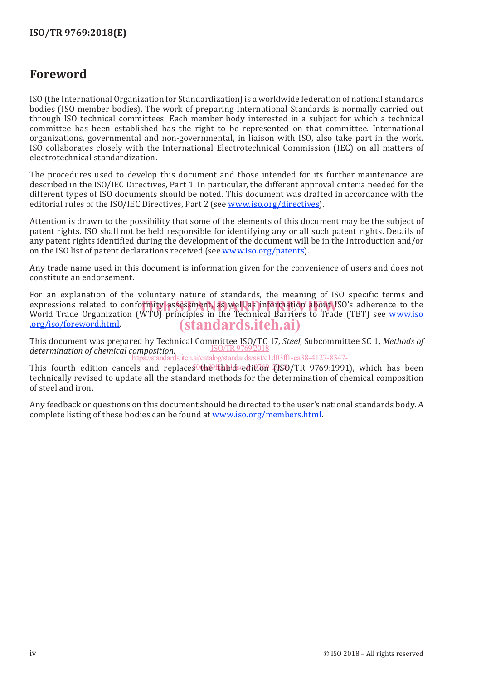# **Foreword**

ISO (the International Organization for Standardization) is a worldwide federation of national standards bodies (ISO member bodies). The work of preparing International Standards is normally carried out through ISO technical committees. Each member body interested in a subject for which a technical committee has been established has the right to be represented on that committee. International organizations, governmental and non-governmental, in liaison with ISO, also take part in the work. ISO collaborates closely with the International Electrotechnical Commission (IEC) on all matters of electrotechnical standardization.

The procedures used to develop this document and those intended for its further maintenance are described in the ISO/IEC Directives, Part 1. In particular, the different approval criteria needed for the different types of ISO documents should be noted. This document was drafted in accordance with the editorial rules of the ISO/IEC Directives, Part 2 (see www.iso.org/directives).

Attention is drawn to the possibility that some of the elements of this document may be the subject of patent rights. ISO shall not be held responsible for identifying any or all such patent rights. Details of any patent rights identified during the development of the document will be in the Introduction and/or on the ISO list of patent declarations received (see www.iso.org/patents).

Any trade name used in this document is information given for the convenience of users and does not constitute an endorsement.

For an explanation of the voluntary nature of standards, the meaning of ISO specific terms and expressions related to conformity assessment, as well as information about ISO's adherence to the expressions of the Water of the Technical Barriers to Trade (TBT) see www.iso. World Trade Organization (WTO) principles in the Technical Barriers to Trade (TBT) see www.iso .org/iso/foreword.html. (standards.iteh.ai)

This document was prepared by Technical Committee ISO/TC 17, *Steel*, Subcommittee SC 1, *Methods of determination of chemical composition*. ISO https://standards.iteh.ai/catalog/standards/sist/c1d03ff1-ca38-4127-8347-

This fourth edition cancels and replaces the third edition (ISO/TR 9769:1991), which has been technically revised to update all the standard methods for the determination of chemical composition of steel and iron.

Any feedback or questions on this document should be directed to the user's national standards body. A complete listing of these bodies can be found at www.iso.org/members.html.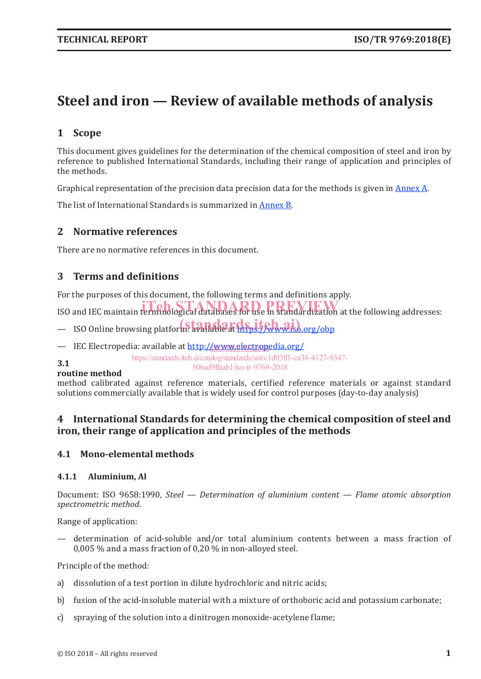# **Steel and iron — Review of available methods of analysis**

## **1 Scope**

This document gives guidelines for the determination of the chemical composition of steel and iron by reference to published International Standards, including their range of application and principles of the methods.

Graphical representation of the precision data precision data for the methods is given in Annex A.

The list of International Standards is summarized in Annex B.

### **2 Normative references**

There are no normative references in this document.

## **3 Terms and definitions**

For the purposes of this document, the following terms and definitions apply.

ISO and IEC maintain terminological databases for use in standardization at the following addresses:

- ISO Online browsing platform: available at https://www.iso.org/obp
- IEC Electropedia: available at <u>http://www.e<del>l</del>ectropedia.org</u>/

https://standards.iteh.ai/catalog/standards/sist/c1d03ff1-ca38-4127-8347-

### **3.1**

506ad9ffaab1/iso-tr-9769-2018

### **routine method**

method calibrated against reference materials, certified reference materials or against standard solutions commercially available that is widely used for control purposes (day-to-day analysis)

### **4 International Standards for determining the chemical composition of steel and iron, their range of application and principles of the methods**

### **4.1 Mono-elemental methods**

### **4.1.1 Aluminium, Al**

Document: ISO 9658:1990, *Steel — Determination of aluminium content — Flame atomic absorption spectrometric method*.

Range of application:

— determination of acid-soluble and/or total aluminium contents between a mass fraction of 0,005 % and a mass fraction of 0,20 % in non-alloyed steel.

- a) dissolution of a test portion in dilute hydrochloric and nitric acids;
- b) fusion of the acid-insoluble material with a mixture of orthoboric acid and potassium carbonate;
- c) spraying of the solution into a dinitrogen monoxide-acetylene flame;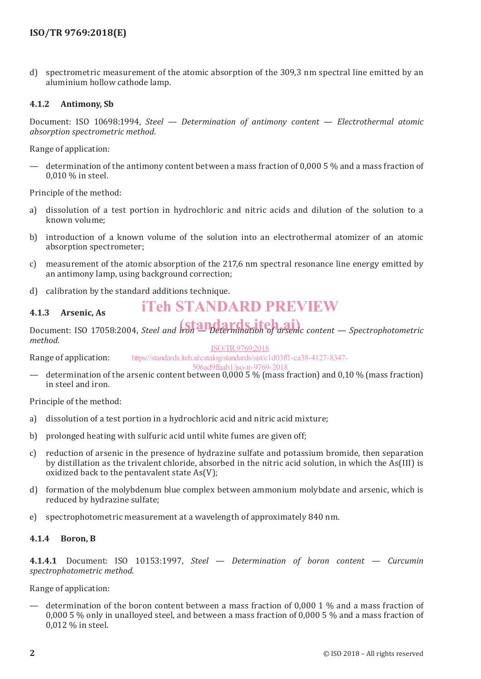d) spectrometric measurement of the atomic absorption of the 309,3 nm spectral line emitted by an aluminium hollow cathode lamp.

### **4.1.2 Antimony, Sb**

Document: ISO 10698:1994, *Steel — Determination of antimony content — Electrothermal atomic absorption spectrometric method*.

Range of application:

— determination of the antimony content between a mass fraction of 0,000 5 % and a mass fraction of 0,010 % in steel.

Principle of the method:

- a) dissolution of a test portion in hydrochloric and nitric acids and dilution of the solution to a known volume;
- b) introduction of a known volume of the solution into an electrothermal atomizer of an atomic absorption spectrometer;
- c) measurement of the atomic absorption of the 217,6 nm spectral resonance line energy emitted by an antimony lamp, using background correction;
- d) calibration by the standard additions technique.

# iTeh STANDARD PREVIEW

Document: ISO 17058:2004, *Steel and from* — Determination of arsenic content — Spectrophotometric *method*.

Range of application:

**4.1.3 Arsenic, As**

#### https://standards.iteh.ai/catalog/standards/sist/c1d03ff1-ca38-4127-8347- 506ad9ffaab1/iso-tr-9769-2018

ISO/TR9769:2018

determination of the arsenic content between  $0,0005\%$  (mass fraction) and 0,10 % (mass fraction) in steel and iron.

Principle of the method:

- a) dissolution of a test portion in a hydrochloric acid and nitric acid mixture;
- b) prolonged heating with sulfuric acid until white fumes are given off;
- c) reduction of arsenic in the presence of hydrazine sulfate and potassium bromide, then separation by distillation as the trivalent chloride, absorbed in the nitric acid solution, in which the As(III) is oxidized back to the pentavalent state As(V);
- d) formation of the molybdenum blue complex between ammonium molybdate and arsenic, which is reduced by hydrazine sulfate;
- e) spectrophotometric measurement at a wavelength of approximately 840 nm.

### **4.1.4 Boron, B**

**4.1.4.1** Document: ISO 10153:1997, *Steel — Determination of boron content — Curcumin spectrophotometric method*.

Range of application:

— determination of the boron content between a mass fraction of 0,000 1 % and a mass fraction of 0,000 5 % only in unalloyed steel, and between a mass fraction of 0,000 5 % and a mass fraction of 0,012 % in steel.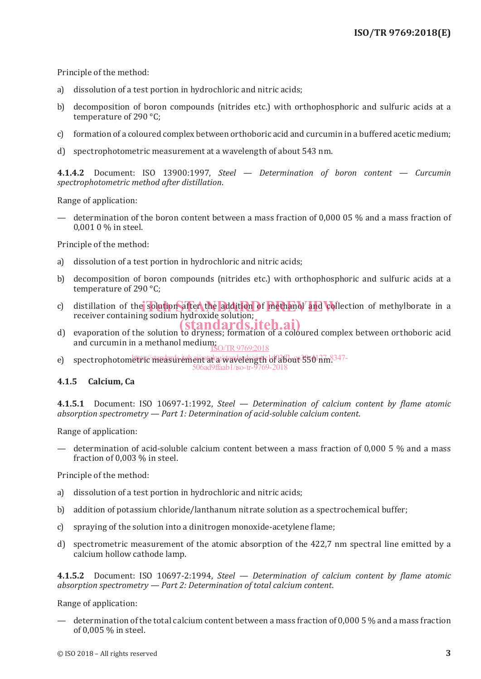Principle of the method:

- a) dissolution of a test portion in hydrochloric and nitric acids;
- b) decomposition of boron compounds (nitrides etc.) with orthophosphoric and sulfuric acids at a temperature of 290 °C;
- c) formation of a coloured complex between orthoboric acid and curcumin in a buffered acetic medium;
- d) spectrophotometric measurement at a wavelength of about 543 nm.

**4.1.4.2** Document: ISO 13900:1997, *Steel — Determination of boron content — Curcumin spectrophotometric method after distillation*.

Range of application:

— determination of the boron content between a mass fraction of 0,000 05 % and a mass fraction of 0,001 0 % in steel.

Principle of the method:

- a) dissolution of a test portion in hydrochloric and nitric acids;
- b) decomposition of boron compounds (nitrides etc.) with orthophosphoric and sulfuric acids at a temperature of 290 °C;
- c) distillation of the solution after the addition of methanol and collection of methylborate in a receiver containing sedium hydrovide solution. receiver containing sodium hydroxide solution;
- d) evaporation of the solution to dryness; formation of a coloured complex between orthoboric acid and curcumin in a methanol medium;<br><u>ISO/TR 9769:2018</u>
- e) spectrophotometric measurement at a wavelength of about 550 nm?347-506ad9ffaab1/iso-tr- $9$

### **4.1.5 Calcium, Ca**

**4.1.5.1** Document: ISO 10697-1:1992, *Steel — Determination of calcium content by flame atomic absorption spectrometry — Part 1: Determination of acid-soluble calcium content*.

Range of application:

determination of acid-soluble calcium content between a mass fraction of  $0.0005\%$  and a mass fraction of 0,003 % in steel.

Principle of the method:

- a) dissolution of a test portion in hydrochloric and nitric acids;
- b) addition of potassium chloride/lanthanum nitrate solution as a spectrochemical buffer;
- c) spraying of the solution into a dinitrogen monoxide-acetylene flame;
- d) spectrometric measurement of the atomic absorption of the 422,7 nm spectral line emitted by a calcium hollow cathode lamp.

**4.1.5.2** Document: ISO 10697-2:1994, *Steel — Determination of calcium content by flame atomic absorption spectrometry — Part 2: Determination of total calcium content*.

Range of application:

determination of the total calcium content between a mass fraction of 0,000 5 % and a mass fraction of 0,005 % in steel.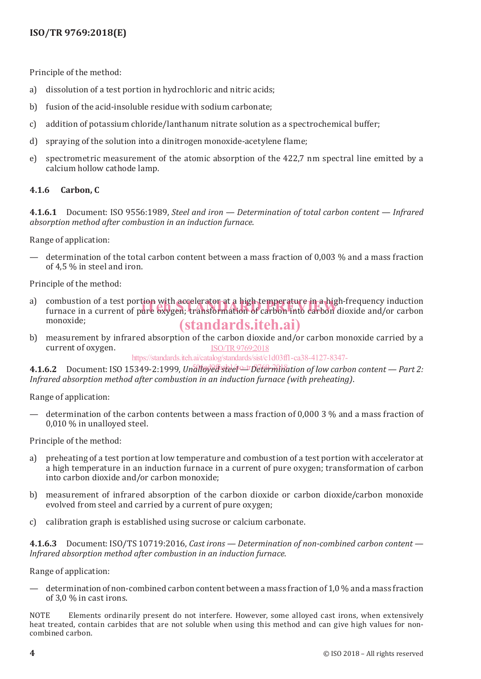Principle of the method:

- a) dissolution of a test portion in hydrochloric and nitric acids;
- b) fusion of the acid-insoluble residue with sodium carbonate;
- c) addition of potassium chloride/lanthanum nitrate solution as a spectrochemical buffer;
- d) spraying of the solution into a dinitrogen monoxide-acetylene flame;
- e) spectrometric measurement of the atomic absorption of the 422,7 nm spectral line emitted by a calcium hollow cathode lamp.

### **4.1.6 Carbon, C**

**4.1.6.1** Document: ISO 9556:1989, *Steel and iron — Determination of total carbon content — Infrared absorption method after combustion in an induction furnace*.

Range of application:

— determination of the total carbon content between a mass fraction of 0,003 % and a mass fraction of 4,5 % in steel and iron.

Principle of the method:

- combustion of a test portion with accelerator at a high temperature in a high-frequency induction combustion of a test portion with accelerator at a high temperature in a high-frequency induction<br>furnace in a current of pure oxygen; transformation of carbon into carbon dioxide and/or carbon monoxide; (standards.iteh.ai)
- b) measurement by infrared absorption of the carbon dioxide and/or carbon monoxide carried by a current of oxygen. ISO/TR9769:2018

https://standards.iteh.ai/catalog/standards/sist/c1d03ff1-ca38-4127-8347-

**4.1.6.2** Document: ISO 15349-2:1999, *Unalloyed steel Determination of low carbon content* — Part 2: *Infrared absorption method after combustion in an induction furnace (with preheating)*.

Range of application:

— determination of the carbon contents between a mass fraction of 0,000 3 % and a mass fraction of 0,010 % in unalloyed steel.

Principle of the method:

- a) preheating of a test portion at low temperature and combustion of a test portion with accelerator at a high temperature in an induction furnace in a current of pure oxygen; transformation of carbon into carbon dioxide and/or carbon monoxide;
- b) measurement of infrared absorption of the carbon dioxide or carbon dioxide/carbon monoxide evolved from steel and carried by a current of pure oxygen;
- c) calibration graph is established using sucrose or calcium carbonate.

**4.1.6.3** Document: ISO/TS 10719:2016, *Cast irons — Determination of non-combined carbon content lnfrared absorption method after combustion in an induction furnace*.

Range of application:

— determination of non-combined carbon content between a mass fraction of 1,0 % and a mass fraction of 3,0 % in cast irons.

NOTE Elements ordinarily present do not interfere. However, some alloyed cast irons, when extensively heat treated, contain carbides that are not soluble when using this method and can give high values for noncombined carbon.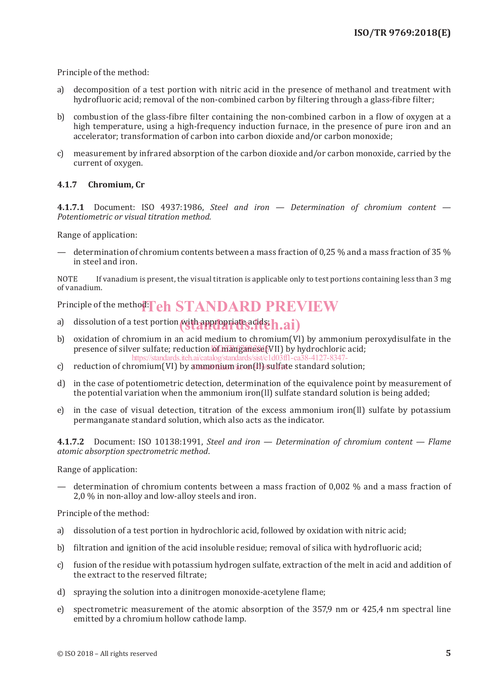Principle of the method:

- a) decomposition of a test portion with nitric acid in the presence of methanol and treatment with hydrofluoric acid; removal of the non-combined carbon by filtering through a glass-fibre filter;
- b) combustion of the glass-fibre filter containing the non-combined carbon in a flow of oxygen at a high temperature, using a high-frequency induction furnace, in the presence of pure iron and an accelerator; transformation of carbon into carbon dioxide and/or carbon monoxide;
- c) measurement by infrared absorption of the carbon dioxide and/or carbon monoxide, carried by the current of oxygen.

### **4.1.7 Chromium, Cr**

**4.1.7.1** Document: ISO 4937:1986, *Steel and iron — Determination of chromium content — Potentiometric or visual titration method.*

Range of application:

— determination of chromium contents between a mass fraction of 0,25 % and a mass fraction of 35 % in steel and iron.

NOTE If vanadium is present, the visual titration is applicable only to test portions containing less than 3 mg of vanadium.

Principle of the method: **Teh STANDARD PREVIEW** 

- a) dissolution of a test portion with appropriate acids  $\mathbf{h}.\mathbf{ai})$
- b) oxidation of chromium in an acid medium to chromium(Vl) by ammonium peroxydisulfate in the presence of silver sulfate; reduction of manganese (VII) by hydrochloric acid; https://standards.iteh.ai/catalog/standards/sist/c1d03ff1-ca38-4127-8347-
- c) reduction of chromium(VI) by ammonium iron(II) sulfate standard solution;
- d) in the case of potentiometric detection, determination of the equivalence point by measurement of the potential variation when the ammonium iron(ll) sulfate standard solution is being added;
- e) in the case of visual detection, titration of the excess ammonium iron(ll) sulfate by potassium permanganate standard solution, which also acts as the indicator.

**4.1.7.2** Document: ISO 10138:1991, *Steel and iron — Determination of chromium content — Flame atomic absorption spectrometric method*.

Range of application:

— determination of chromium contents between a mass fraction of 0,002 % and a mass fraction of 2,0 % in non-alloy and low-alloy steels and iron.

- a) dissolution of a test portion in hydrochloric acid, followed by oxidation with nitric acid;
- b) filtration and ignition of the acid insoluble residue; removal of silica with hydrofluoric acid;
- c) fusion of the residue with potassium hydrogen sulfate, extraction of the melt in acid and addition of the extract to the reserved filtrate;
- d) spraying the solution into a dinitrogen monoxide-acetylene flame;
- e) spectrometric measurement of the atomic absorption of the 357,9 nm or 425,4 nm spectral line emitted by a chromium hollow cathode lamp.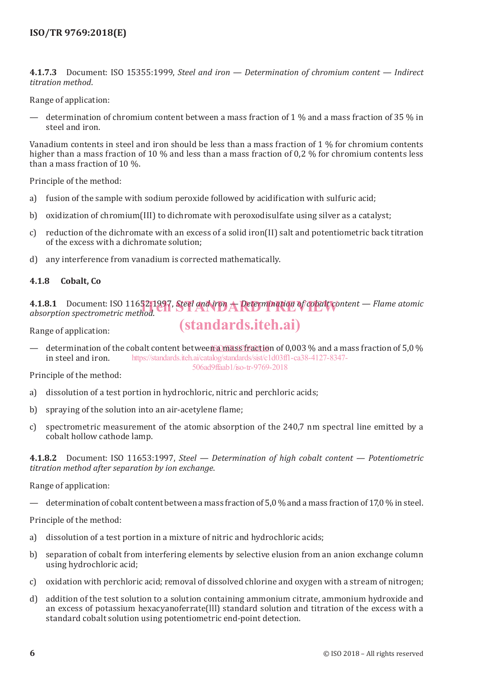**4.1.7.3** Document: ISO 15355:1999, *Steel and iron — Determination of chromium content — Indirect titration method*.

Range of application:

— determination of chromium content between a mass fraction of 1 % and a mass fraction of 35 % in steel and iron.

Vanadium contents in steel and iron should be less than a mass fraction of 1 % for chromium contents higher than a mass fraction of 10 % and less than a mass fraction of 0,2 % for chromium contents less than a mass fraction of 10 %.

Principle of the method:

- a) fusion of the sample with sodium peroxide followed by acidification with sulfuric acid;
- b) oxidization of chromium(III) to dichromate with peroxodisulfate using silver as a catalyst;
- c) reduction of the dichromate with an excess of a solid iron(II) salt and potentiometric back titration of the excess with a dichromate solution;
- d) any interference from vanadium is corrected mathematically.

### **4.1.8 Cobalt, Co**

**4.1.8.1** Document: ISO 11652:1997, Steel and iron **A Petermination of cobalt co**ntent — Flame atomic absorption spectrometric method. *absorption spectrometric method*. (standards.iteh.ai)

Range of application:

 $-$  determination of the cobalt content between a mass fraction of 0,003  $\%$  and a mass fraction of 5,0  $\%$ in steel and iron. https://standards.iteh.ai/catalog/standards/sist/c1d03ff1-ca38-4127-8347- 506ad9ffaab1/iso-tr-9769-2018

Principle of the method:

- a) dissolution of a test portion in hydrochloric, nitric and perchloric acids;
- b) spraying of the solution into an air-acetylene flame;
- c) spectrometric measurement of the atomic absorption of the 240,7 nm spectral line emitted by a cobalt hollow cathode lamp.

**4.1.8.2** Document: ISO 11653:1997, *Steel — Determination of high cobalt content — Potentiometric titration method after separation by ion exchange*.

Range of application:

— determination of cobalt content between a mass fraction of 5,0 % and a mass fraction of 17,0 % in steel.

- a) dissolution of a test portion in a mixture of nitric and hydrochloric acids;
- b) separation of cobalt from interfering elements by selective elusion from an anion exchange column using hydrochloric acid;
- c) oxidation with perchloric acid; removal of dissolved chlorine and oxygen with a stream of nitrogen;
- d) addition of the test solution to a solution containing ammonium citrate, ammonium hydroxide and an excess of potassium hexacyanoferrate(lll) standard solution and titration of the excess with a standard cobalt solution using potentiometric end-point detection.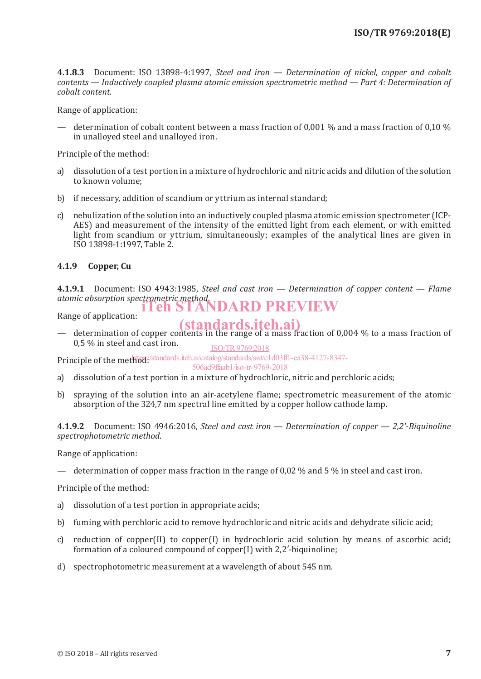**4.1.8.3** Document: ISO 13898-4:1997, *Steel and iron — Determination of nickel, copper and cobalt contents — Inductively coupled plasma atomic emission spectrometric method — Part 4: Determination of cobalt content*.

Range of application:

— determination of cobalt content between a mass fraction of 0,001 % and a mass fraction of 0,10 % in unalloyed steel and unalloyed iron.

Principle of the method:

- a) dissolution of a test portion in a mixture of hydrochloric and nitric acids and dilution of the solution to known volume;
- b) if necessary, addition of scandium or yttrium as internal standard;
- c) nebulization of the solution into an inductively coupled plasma atomic emission spectrometer (ICP-AES) and measurement of the intensity of the emitted light from each element, or with emitted light from scandium or yttrium, simultaneously; examples of the analytical lines are given in ISO 13898-1:1997, Table 2.

#### **4.1.9 Copper, Cu**

**4.1.9.1** Document: ISO 4943:1985, *Steel and cast iron — Determination of copper content — Flame atomic absorption spectrometric method*. **STARD PREVIEW** 

Range of application:

— determination of copper contents in the range of a mass fraction of 0,004 % to a mass fraction of 0,5 % in steel and cast iron. (standards.iteh.ai) ISO/TR9769:2018

Principle of the method://standards.iteh.ai/catalog/standards/sist/c1d03ff1-ca38-4127-8347-

506ad9ffaab1/iso-tr-9769-2018

- a) dissolution of a test portion in a mixture of hydrochloric, nitric and perchloric acids;
- b) spraying of the solution into an air-acetylene flame; spectrometric measurement of the atomic absorption of the 324,7 nm spectral line emitted by a copper hollow cathode lamp.

**4.1.9.2** Document: ISO 4946:2016, *Steel and cast iron — Determination of copper — 2,2'-Biquinoline spectrophotometric method*.

Range of application:

— determination of copper mass fraction in the range of 0,02 % and 5 % in steel and cast iron.

- a) dissolution of a test portion in appropriate acids;
- b) fuming with perchloric acid to remove hydrochloric and nitric acids and dehydrate silicic acid;
- c) reduction of copper(II) to copper(I) in hydrochloric acid solution by means of ascorbic acid; formation of a coloured compound of copper(I) with 2,2′-biquinoline;
- d) spectrophotometric measurement at a wavelength of about 545 nm.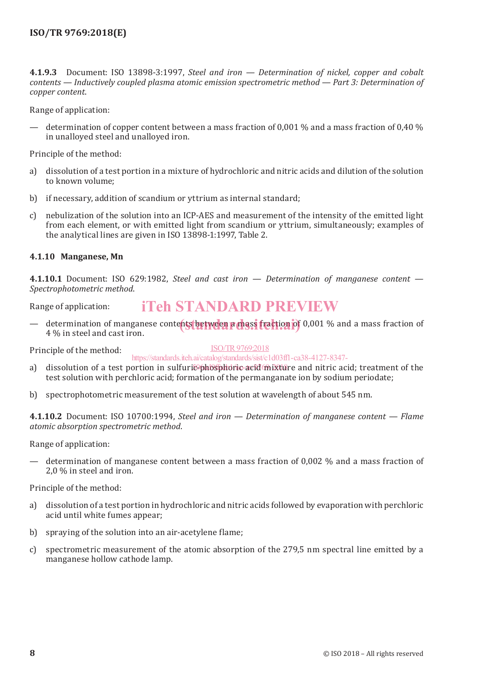**4.1.9.3** Document: ISO 13898-3:1997, *Steel and iron — Determination of nickel, copper and cobalt contents — Inductively coupled plasma atomic emission spectrometric method — Part 3: Determination of copper content*.

Range of application:

determination of copper content between a mass fraction of 0,001 % and a mass fraction of 0.40 % in unalloyed steel and unalloyed iron.

Principle of the method:

- a) dissolution of a test portion in a mixture of hydrochloric and nitric acids and dilution of the solution to known volume;
- b) if necessary, addition of scandium or yttrium as internal standard;
- c) nebulization of the solution into an ICP-AES and measurement of the intensity of the emitted light from each element, or with emitted light from scandium or yttrium, simultaneously; examples of the analytical lines are given in ISO 13898-1:1997, Table 2.

### **4.1.10 Manganese, Mn**

**4.1.10.1** Document: ISO 629:1982, *Steel and cast iron — Determination of manganese content — Spectrophotometric method*.

Range of application:

# iTeh STANDARD PREVIEW

— determination of manganese contents between a mass fraction of 0,001 % and a mass fraction of 4.0% in steel and cast iron 4 % in steel and cast iron.

Principle of the method:

### ISO/TR9769:2018

https://standards.iteh.ai/catalog/standards/sist/c1d03ff1-ca38-4127-8347-

- a) dissolution of a test portion in sulfuric phosphoric acid mixture and nitric acid; treatment of the test solution with perchloric acid; formation of the permanganate ion by sodium periodate;
- b) spectrophotometric measurement of the test solution at wavelength of about 545 nm.

**4.1.10.2** Document: ISO 10700:1994, *Steel and iron — Determination of manganese content — Flame atomic absorption spectrometric method*.

Range of application:

— determination of manganese content between a mass fraction of 0,002 % and a mass fraction of 2,0 % in steel and iron.

- a) dissolution of a test portion in hydrochloric and nitric acids followed by evaporation with perchloric acid until white fumes appear;
- b) spraying of the solution into an air-acetylene flame;
- c) spectrometric measurement of the atomic absorption of the 279,5 nm spectral line emitted by a manganese hollow cathode lamp.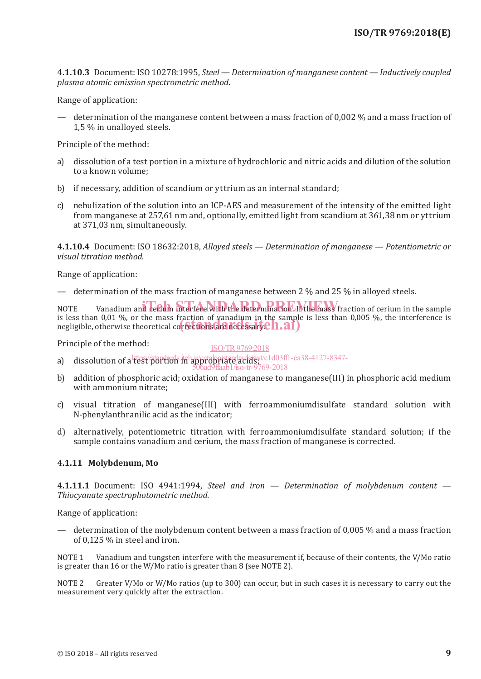**4.1.10.3** Document: ISO 10278:1995, *Steel — Determination of manganese content — Inductively coupled plasma atomic emission spectrometric method*.

Range of application:

— determination of the manganese content between a mass fraction of 0,002 % and a mass fraction of 1,5 % in unalloyed steels.

Principle of the method:

- a) dissolution of a test portion in a mixture of hydrochloric and nitric acids and dilution of the solution to a known volume;
- b) if necessary, addition of scandium or yttrium as an internal standard;
- c) nebulization of the solution into an ICP-AES and measurement of the intensity of the emitted light from manganese at 257,61 nm and, optionally, emitted light from scandium at 361,38 nm or yttrium at 371,03 nm, simultaneously.

**4.1.10.4** Document: ISO 18632:2018, *Alloyed steels — Determination of manganese — Potentiometric or visual titration method*.

Range of application:

— determination of the mass fraction of manganese between 2 % and 25 % in alloyed steels.

NOTE Vanadium and cerium interfere with the determination. If the mass fraction of cerium in the sample is less than 0,01 %, or the mass fraction of vanadium in the sample is less than 0,005 %, the interference is is less than 0,01 %, or the mass fraction of vanadium in the sample<br>negligible, otherwise theoretical corrections are necessary. **C 1.21** 

Principle of the method:

ISO/TR9769:2018

- a) dissolution of a  $\frac{1488t}{p}$  or though in appropriate activist/c1d03ff1-ca38-4127-8347ab1/iso-tr-9769-2018
- b) addition of phosphoric acid; oxidation of manganese to manganese(III) in phosphoric acid medium with ammonium nitrate;
- c) visual titration of manganese(III) with ferroammoniumdisulfate standard solution with N-phenylanthranilic acid as the indicator;
- d) alternatively, potentiometric titration with ferroammoniumdisulfate standard solution; if the sample contains vanadium and cerium, the mass fraction of manganese is corrected.

#### **4.1.11 Molybdenum, Mo**

**4.1.11.1** Document: ISO 4941:1994, *Steel and iron — Determination of molybdenum content — Thiocyanate spectrophotometric method*.

Range of application:

determination of the molybdenum content between a mass fraction of 0,005 % and a mass fraction of 0,125 % in steel and iron.

NOTE 1 Vanadium and tungsten interfere with the measurement if, because of their contents, the V/Mo ratio is greater than 16 or the W/Mo ratio is greater than 8 (see NOTE 2).

NOTE 2 Greater V/Mo or W/Mo ratios (up to 300) can occur, but in such cases it is necessary to carry out the measurement very quickly after the extraction.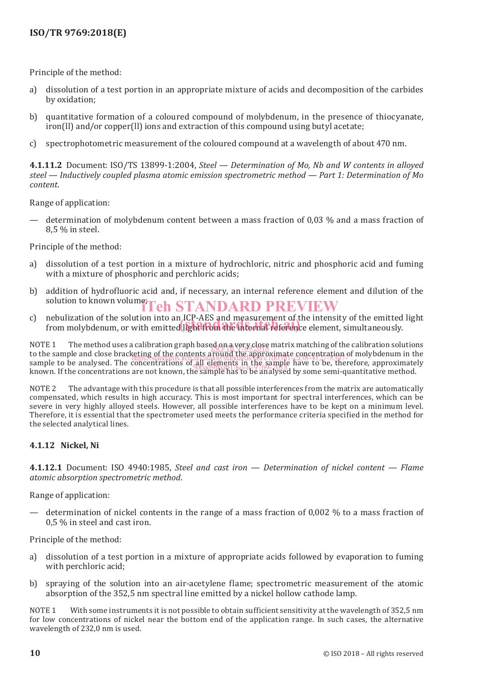Principle of the method:

- a) dissolution of a test portion in an appropriate mixture of acids and decomposition of the carbides by oxidation;
- b) quantitative formation of a coloured compound of molybdenum, in the presence of thiocyanate, iron(ll) and/or copper(ll) ions and extraction of this compound using butyl acetate;
- c) spectrophotometric measurement of the coloured compound at a wavelength of about 470 nm.

**4.1.11.2** Document: ISO/TS 13899-1:2004, *Steel — Determination of Mo, Nb and W contents in alloyed steel — Inductively coupled plasma atomic emission spectrometric method — Part 1: Determination of Mo content*.

Range of application:

determination of molybdenum content between a mass fraction of 0,03 % and a mass fraction of 8,5 % in steel.

Principle of the method:

- a) dissolution of a test portion in a mixture of hydrochloric, nitric and phosphoric acid and fuming with a mixture of phosphoric and perchloric acids;
- b) addition of hydrofluoric acid and, if necessary, an internal reference element and dilution of the solution to known volume; Teh STANDARD PREVIEW
- c) nebulization of the solution into an ICP-AES and measurement of the intensity of the emitted light nebulization of the solution into an ICP-AES and measurement of the intensity of the emitted<br>from molybdenum, or with emitted light from the internal reference element, simultaneously.

NOTE 1 The method uses a calibration graph based on a very close matrix matching of the calibration solutions<br>Is the course and also charakting of the contents of contribution in the consentation of makeh densuring the c to the sample and close bracketing of the contents around the approximate concentration of molybdenum in the<br>comple to be applyeed. The dips://standards.iteh.ai/catalog/standards.it/c1d03f11-ca38-4127-8347-7-847. sample to be analysed. The concentrations of all elements in the sample have to be, therefore, approximately sample to be analysed. The concentrations of an elements in the sample have to be, therefore, approximate<br>known. If the concentrations are not known, the sample has to be analysed by some semi-quantitative method.

NOTE 2 The advantage with this procedure is that all possible interferences from the matrix are automatically compensated, which results in high accuracy. This is most important for spectral interferences, which can be severe in very highly alloyed steels. However, all possible interferences have to be kept on a minimum level. Therefore, it is essential that the spectrometer used meets the performance criteria specified in the method for the selected analytical lines.

### **4.1.12 Nickel, Ni**

**4.1.12.1** Document: ISO 4940:1985, *Steel and cast iron — Determination of nickel content — Flame atomic absorption spectrometric method*.

Range of application:

determination of nickel contents in the range of a mass fraction of 0,002 % to a mass fraction of 0,5 % in steel and cast iron.

Principle of the method:

- a) dissolution of a test portion in a mixture of appropriate acids followed by evaporation to fuming with perchloric acid;
- b) spraying of the solution into an air-acetylene flame; spectrometric measurement of the atomic absorption of the 352,5 nm spectral line emitted by a nickel hollow cathode lamp.

NOTE 1 With some instruments it is not possible to obtain sufficient sensitivity at the wavelength of 352,5 nm for low concentrations of nickel near the bottom end of the application range. In such cases, the alternative wavelength of 232,0 nm is used.